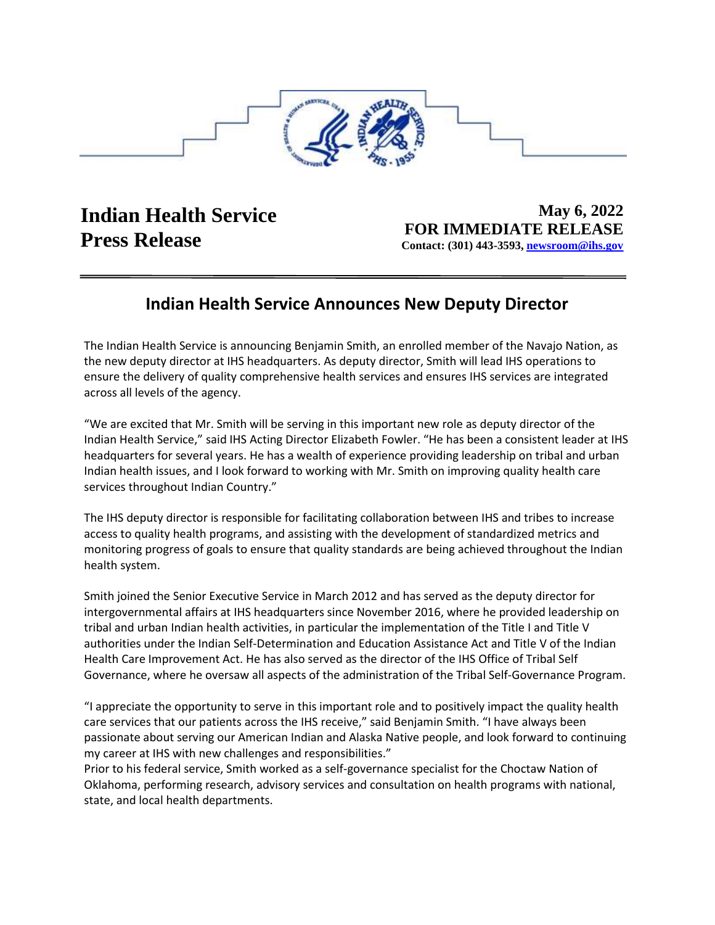

Contact: (301) 443-3593, newsroom@ihs.gov **May 6, 2022 Indian Health Service FOR IMMEDIATE RELEASE**<br>**Press Release** Contact: (301) 443-3503, percepagn@ihs.gov

## **Indian Health Service Announces New Deputy Director**

The Indian Health Service is announcing Benjamin Smith, an enrolled member of the Navajo Nation, as the new deputy director at IHS headquarters. As deputy director, Smith will lead IHS operations to ensure the delivery of quality comprehensive health services and ensures IHS services are integrated across all levels of the agency.

"We are excited that Mr. Smith will be serving in this important new role as deputy director of the Indian Health Service," said IHS Acting Director Elizabeth Fowler. "He has been a consistent leader at IHS headquarters for several years. He has a wealth of experience providing leadership on tribal and urban Indian health issues, and I look forward to working with Mr. Smith on improving quality health care services throughout Indian Country."

The IHS deputy director is responsible for facilitating collaboration between IHS and tribes to increase access to quality health programs, and assisting with the development of standardized metrics and monitoring progress of goals to ensure that quality standards are being achieved throughout the Indian health system.

 intergovernmental affairs at IHS headquarters since November 2016, where he provided leadership on Smith joined the Senior Executive Service in March 2012 and has served as the deputy director for tribal and urban Indian health activities, in particular the implementation of the Title I and Title V authorities under the Indian Self-Determination and Education Assistance Act and Title V of the Indian Health Care Improvement Act. He has also served as the director of the IHS Office of Tribal Self Governance, where he oversaw all aspects of the administration of the Tribal Self-Governance Program.

"I appreciate the opportunity to serve in this important role and to positively impact the quality health care services that our patients across the IHS receive," said Benjamin Smith. "I have always been passionate about serving our American Indian and Alaska Native people, and look forward to continuing my career at IHS with new challenges and responsibilities."

Prior to his federal service, Smith worked as a self-governance specialist for the Choctaw Nation of Oklahoma, performing research, advisory services and consultation on health programs with national, state, and local health departments.